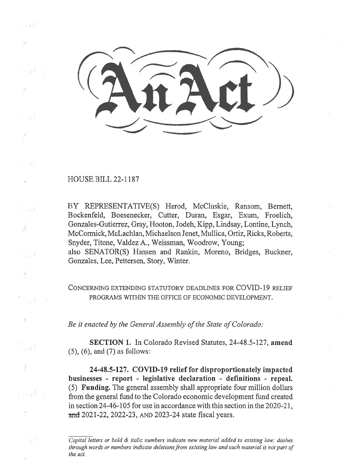HOUSE BILL 22-1187

BY REPRESENTATIVE(S) Herod, McCluskie, Ransom, Bernett, Bockenfeld, Boesenecker, Cutter, Duran, Esgar, Exum, Froelich, Gonzales-Gutierrez, Gray, Hooton, Jodeh, Kipp, Lindsay, Lontine, Lynch, McCormick, McLachlan, Michaelson Jenet, Mullica, Ortiz, Ricks, Roberts, Snyder, Titone, Valdez A., Weissman, Woodrow, Young; also SENATOR(S) Hansen and Rankin, Moreno, Bridges, Buckner, Gonzales, Lee, Pettersen, Story, Winter.

CONCERNING EXTENDING STATUTORY DEADLINES FOR COVID-19 RELIEF PROGRAMS WITHIN THE OFFICE OF ECONOMIC DEVELOPMENT.

Be it enacted by the General Assembly of the State of Colorado:

SECTION 1. In Colorado Revised Statutes, 24-48.5-127, amend (5), (6), and (7) as follows:

24-48.5-127. COVID-19 relief for disproportionately impacted businesses - report - legislative declaration - definitions - repeal. (5) Funding. The general assembly shall appropriate four million dollars from the general fund to the Colorado economic development fund created in section 24-46-105 for use in accordance with this section in the 2020-21, and 2021-22, 2022-23, AND 2023-24 state fiscal years.

Capital letters or bold & italic numbers indicate new material added to existing law; dashes through words or numbers indicate deletions from existing law and such material is not part of the act.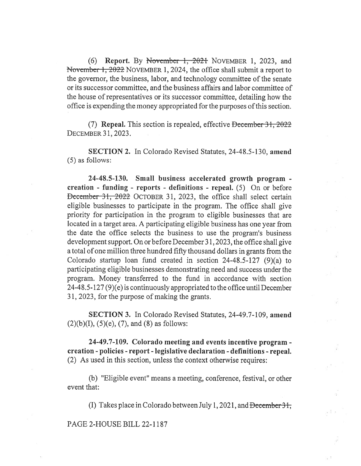(6) Report. By November 1, 2021 NOVEMBER 1, 2023, and November 1, 2022 NOVEMBER 1, 2024, the office shall submit a report to the governor, the business, labor, and technology committee of the senate or its successor committee, and the business affairs and labor committee of the house of representatives or its successor committee, detailing how the office is expending the money appropriated for the purposes of this section.

(7) Repeal. This section is repealed, effective December  $31,2022$ DECEMBER 31, 2023.

SECTION 2. In Colorado Revised Statutes, 24-48.5-130, amend (5) as follows:

24-48.5-130. Small business accelerated growth program creation - funding - reports - definitions - repeal. (5) On or before Deccrnber 31, 2022 OCTOBER 31, 2023, the office shall select certain eligible businesses to participate in the program. The office shall give priority for participation in the program to eligible businesses that are located in a target area. A participating eligible business has one year from the date the office selects the business to use the program's business development support. On or before December 31, 2023, the office shall give a total of one million three hundred fifty thousand dollars in grants from the Colorado startup loan fund created in section 24-48.5-127 (9)(a) to participating eligible businesses demonstrating need and success under the program. Money transferred to the fund in accordance with section 24-48.5-127 (9)(e) is continuously appropriated to the office until December 31, 2023, for the purpose of making the grants.

SECTION 3. In Colorado Revised Statutes, 24-49.7-109, amend  $(2)(b)(I), (5)(e), (7),$  and  $(8)$  as follows:

24-49.7-109. Colorado meeting and events incentive program creation - policies - report - legislative declaration - definitions - repeal. (2) As used in this section, unless the context otherwise requires:

(b) "Eligible event" means a meeting, conference, festival, or other event that:

(I) Takes place in Colorado between July 1, 2021, and  $\theta$  becember 31,

PAGE 2-HOUSE BILL 22-1187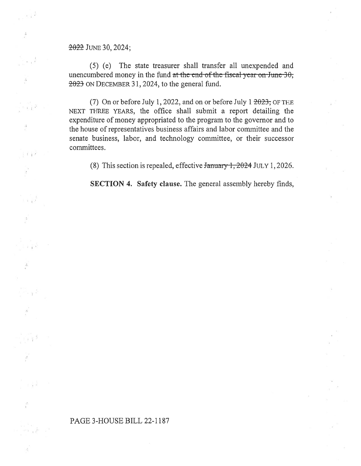## 2022 JuNE 30, 2024;

 $\mathcal{A} \in \mathbb{R}^N$ 

s př

 $1 - 1$ 

(5) (e) The state treasurer shall transfer all unexpended and unencumbered money in the fund at the end-of-the-fiscal-year on-June-30; 2023 ON DECEMBER 31, 2024, to the general fund.

(7) On or before July 1, 2022, and on or before July 1  $2023$ ; OF THE NEXT THREE YEARS, the office shall submit a report detailing the expenditure of money appropriated to the program to the governor and to the house of representatives business affairs and labor committee and the senate business, labor, and technology committee, or their successor committees.

(8) This section is repealed, effective  $\frac{1}{2024}$  JULY 1, 2026.

SECTION 4. Safety clause. The general assembly hereby finds,

## PAGE 3-HOUSE BILL 22-1187